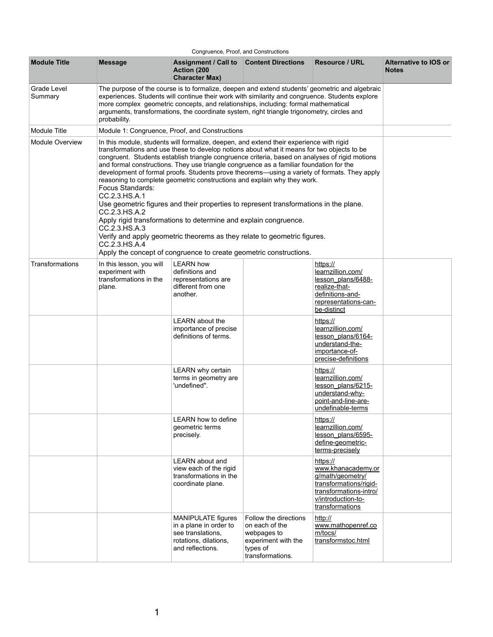|                               |                                                                                                                                                                                                                                                                                                                                                                                                                                                                                                                                                                                                                                                                                                                                                                                                                                                                                                                                                                              | Congruence, Proof, and Constructions                                                                                                                                                                                                                                                                                                                                                   |                                                                                                               |                                                                                                                                                 |                                       |  |
|-------------------------------|------------------------------------------------------------------------------------------------------------------------------------------------------------------------------------------------------------------------------------------------------------------------------------------------------------------------------------------------------------------------------------------------------------------------------------------------------------------------------------------------------------------------------------------------------------------------------------------------------------------------------------------------------------------------------------------------------------------------------------------------------------------------------------------------------------------------------------------------------------------------------------------------------------------------------------------------------------------------------|----------------------------------------------------------------------------------------------------------------------------------------------------------------------------------------------------------------------------------------------------------------------------------------------------------------------------------------------------------------------------------------|---------------------------------------------------------------------------------------------------------------|-------------------------------------------------------------------------------------------------------------------------------------------------|---------------------------------------|--|
| <b>Module Title</b>           | <b>Message</b>                                                                                                                                                                                                                                                                                                                                                                                                                                                                                                                                                                                                                                                                                                                                                                                                                                                                                                                                                               | <b>Assignment / Call to Content Directions</b><br><b>Action (200)</b><br><b>Character Max)</b>                                                                                                                                                                                                                                                                                         |                                                                                                               | <b>Resource / URL</b>                                                                                                                           | Alternative to IOS or<br><b>Notes</b> |  |
| <b>Grade Level</b><br>Summary | probability.                                                                                                                                                                                                                                                                                                                                                                                                                                                                                                                                                                                                                                                                                                                                                                                                                                                                                                                                                                 | The purpose of the course is to formalize, deepen and extend students' geometric and algebraic<br>experiences. Students will continue their work with similarity and congruence. Students explore<br>more complex geometric concepts, and relationships, including: formal mathematical<br>arguments, transformations, the coordinate system, right triangle trigonometry, circles and |                                                                                                               |                                                                                                                                                 |                                       |  |
| <b>Module Title</b>           |                                                                                                                                                                                                                                                                                                                                                                                                                                                                                                                                                                                                                                                                                                                                                                                                                                                                                                                                                                              | Module 1: Congruence, Proof, and Constructions                                                                                                                                                                                                                                                                                                                                         |                                                                                                               |                                                                                                                                                 |                                       |  |
| <b>Module Overview</b>        | In this module, students will formalize, deepen, and extend their experience with rigid<br>transformations and use these to develop notions about what it means for two objects to be<br>congruent. Students establish triangle congruence criteria, based on analyses of rigid motions<br>and formal constructions. They use triangle congruence as a familiar foundation for the<br>development of formal proofs. Students prove theorems—using a variety of formats. They apply<br>reasoning to complete geometric constructions and explain why they work.<br><b>Focus Standards:</b><br>CC.2.3.HS.A.1<br>Use geometric figures and their properties to represent transformations in the plane.<br>CC.2.3.HS.A.2<br>Apply rigid transformations to determine and explain congruence.<br>CC.2.3.HS.A.3<br>Verify and apply geometric theorems as they relate to geometric figures.<br>CC.2.3.HS.A.4<br>Apply the concept of congruence to create geometric constructions. |                                                                                                                                                                                                                                                                                                                                                                                        |                                                                                                               |                                                                                                                                                 |                                       |  |
| <b>Transformations</b>        | In this lesson, you will<br>experiment with<br>transformations in the<br>plane.                                                                                                                                                                                                                                                                                                                                                                                                                                                                                                                                                                                                                                                                                                                                                                                                                                                                                              | <b>LEARN how</b><br>definitions and<br>representations are<br>different from one<br>another.                                                                                                                                                                                                                                                                                           |                                                                                                               | https://<br>learnzillion.com/<br>lesson plans/6488-<br>realize-that-<br>definitions-and-<br>representations-can-<br>be-distinct                 |                                       |  |
|                               |                                                                                                                                                                                                                                                                                                                                                                                                                                                                                                                                                                                                                                                                                                                                                                                                                                                                                                                                                                              | <b>LEARN</b> about the<br>importance of precise<br>definitions of terms.                                                                                                                                                                                                                                                                                                               |                                                                                                               | https://<br>learnzillion.com/<br>lesson plans/6164-<br>understand-the-<br>importance-of-<br>precise-definitions                                 |                                       |  |
|                               |                                                                                                                                                                                                                                                                                                                                                                                                                                                                                                                                                                                                                                                                                                                                                                                                                                                                                                                                                                              | <b>LEARN</b> why certain<br>terms in geometry are<br>'undefined".                                                                                                                                                                                                                                                                                                                      |                                                                                                               | https://<br>learnzillion.com/<br>lesson plans/6215-<br>understand-why-<br>point-and-line-are-<br>undefinable-terms                              |                                       |  |
|                               |                                                                                                                                                                                                                                                                                                                                                                                                                                                                                                                                                                                                                                                                                                                                                                                                                                                                                                                                                                              | <b>LEARN</b> how to define<br>geometric terms<br>precisely.                                                                                                                                                                                                                                                                                                                            |                                                                                                               | https://<br>learnzillion.com/<br>lesson plans/6595-<br>define-geometric-<br>terms-precisely                                                     |                                       |  |
|                               |                                                                                                                                                                                                                                                                                                                                                                                                                                                                                                                                                                                                                                                                                                                                                                                                                                                                                                                                                                              | <b>LEARN</b> about and<br>view each of the rigid<br>transformations in the<br>coordinate plane.                                                                                                                                                                                                                                                                                        |                                                                                                               | https://<br>www.khanacademy.or<br>g/math/geometry/<br>transformations/rigid-<br>transformations-intro/<br>v/introduction-to-<br>transformations |                                       |  |
|                               |                                                                                                                                                                                                                                                                                                                                                                                                                                                                                                                                                                                                                                                                                                                                                                                                                                                                                                                                                                              | <b>MANIPULATE figures</b><br>in a plane in order to<br>see translations,<br>rotations, dilations,<br>and reflections.                                                                                                                                                                                                                                                                  | Follow the directions<br>on each of the<br>webpages to<br>experiment with the<br>types of<br>transformations. | http://<br>www.mathopenref.co<br>m/tocs/<br>transformstoc.html                                                                                  |                                       |  |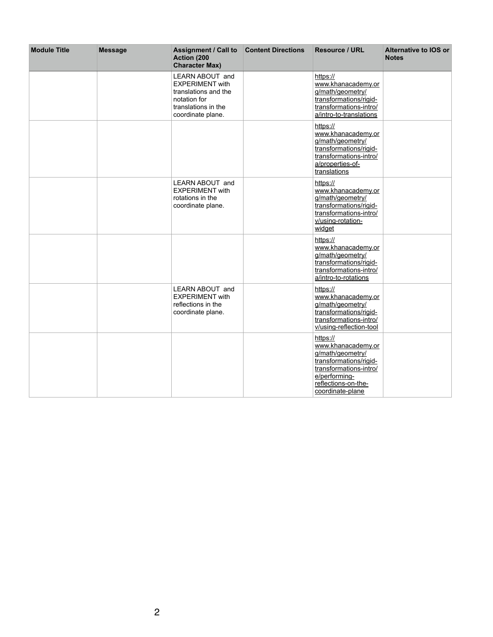| <b>Module Title</b> | <b>Message</b> | <b>Assignment / Call to Content Directions</b><br><b>Action (200)</b><br><b>Character Max)</b>                                       | <b>Resource / URL</b>                                                                                                                                              | <b>Alternative to IOS or</b><br><b>Notes</b> |
|---------------------|----------------|--------------------------------------------------------------------------------------------------------------------------------------|--------------------------------------------------------------------------------------------------------------------------------------------------------------------|----------------------------------------------|
|                     |                | <b>LEARN ABOUT and</b><br><b>EXPERIMENT with</b><br>translations and the<br>notation for<br>translations in the<br>coordinate plane. | https://<br>www.khanacademy.or<br>g/math/geometry/<br>transformations/rigid-<br>transformations-intro/<br>a/intro-to-translations                                  |                                              |
|                     |                |                                                                                                                                      | https://<br>www.khanacademy.or<br>g/math/geometry/<br>transformations/rigid-<br>transformations-intro/<br>a/properties-of-<br>translations                         |                                              |
|                     |                | <b>LEARN ABOUT and</b><br><b>EXPERIMENT with</b><br>rotations in the<br>coordinate plane.                                            | https://<br>www.khanacademy.or<br>g/math/geometry/<br>transformations/rigid-<br>transformations-intro/<br>v/using-rotation-<br>widget                              |                                              |
|                     |                |                                                                                                                                      | https://<br>www.khanacademy.or<br>g/math/geometry/<br>transformations/rigid-<br>transformations-intro/<br>a/intro-to-rotations                                     |                                              |
|                     |                | <b>LEARN ABOUT and</b><br><b>EXPERIMENT with</b><br>reflections in the<br>coordinate plane.                                          | https://<br>www.khanacademy.or<br>g/math/geometry/<br>transformations/rigid-<br>transformations-intro/<br>v/using-reflection-tool                                  |                                              |
|                     |                |                                                                                                                                      | https://<br>www.khanacademy.or<br>g/math/geometry/<br>transformations/rigid-<br>transformations-intro/<br>e/performing-<br>reflections-on-the-<br>coordinate-plane |                                              |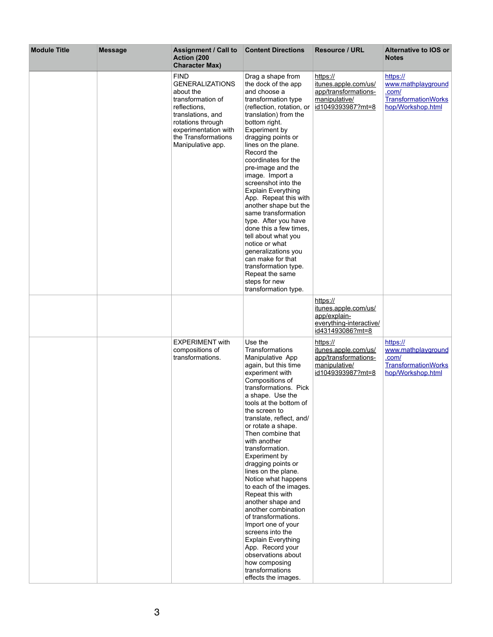| <b>Module Title</b> | <b>Message</b> | <b>Assignment / Call to</b><br><b>Action (200)</b><br><b>Character Max)</b>                                                                                                                           | <b>Content Directions</b>                                                                                                                                                                                                                                                                                                                                                                                                                                                                                                                                                                                                                                                                                      | <b>Resource / URL</b>                                                                                                              | <b>Alternative to IOS or</b><br><b>Notes</b>                                               |
|---------------------|----------------|-------------------------------------------------------------------------------------------------------------------------------------------------------------------------------------------------------|----------------------------------------------------------------------------------------------------------------------------------------------------------------------------------------------------------------------------------------------------------------------------------------------------------------------------------------------------------------------------------------------------------------------------------------------------------------------------------------------------------------------------------------------------------------------------------------------------------------------------------------------------------------------------------------------------------------|------------------------------------------------------------------------------------------------------------------------------------|--------------------------------------------------------------------------------------------|
|                     |                | <b>FIND</b><br><b>GENERALIZATIONS</b><br>about the<br>transformation of<br>reflections,<br>translations, and<br>rotations through<br>experimentation with<br>the Transformations<br>Manipulative app. | Drag a shape from<br>the dock of the app<br>and choose a<br>transformation type<br>(reflection, rotation, or<br>translation) from the<br>bottom right.<br><b>Experiment by</b><br>dragging points or<br>lines on the plane.<br>Record the<br>coordinates for the<br>pre-image and the<br>image. Import a<br>screenshot into the<br><b>Explain Everything</b><br>App. Repeat this with<br>another shape but the<br>same transformation<br>type. After you have<br>done this a few times,<br>tell about what you<br>notice or what<br>generalizations you<br>can make for that<br>transformation type.<br>Repeat the same<br>steps for new<br>transformation type.                                               | https://<br>itunes.apple.com/us/<br>app/transformations-<br>manipulative/<br>id1049393987?mt=8<br>https://<br>itunes.apple.com/us/ | https://<br>www.mathplayground<br>.com/<br><b>TransformationWorks</b><br>hop/Workshop.html |
|                     |                |                                                                                                                                                                                                       |                                                                                                                                                                                                                                                                                                                                                                                                                                                                                                                                                                                                                                                                                                                | app/explain-<br>everything-interactive/<br>id431493086?mt=8                                                                        |                                                                                            |
|                     |                | <b>EXPERIMENT with</b><br>compositions of<br>transformations.                                                                                                                                         | Use the<br><b>Transformations</b><br>Manipulative App<br>again, but this time<br>experiment with<br>Compositions of<br>transformations. Pick<br>a shape. Use the<br>tools at the bottom of<br>the screen to<br>translate, reflect, and/<br>or rotate a shape.<br>Then combine that<br>with another<br>transformation.<br><b>Experiment by</b><br>dragging points or<br>lines on the plane.<br>Notice what happens<br>to each of the images.<br>Repeat this with<br>another shape and<br>another combination<br>of transformations.<br>Import one of your<br>screens into the<br><b>Explain Everything</b><br>App. Record your<br>observations about<br>how composing<br>transformations<br>effects the images. | https://<br>itunes.apple.com/us/<br>app/transformations-<br>manipulative/<br>id1049393987?mt=8                                     | https://<br>www.mathplayground<br>.com/<br><b>TransformationWorks</b><br>hop/Workshop.html |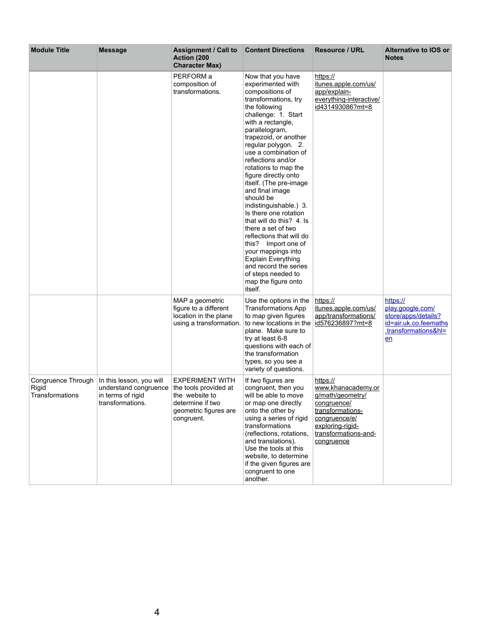| <b>Module Title</b>                                                 | <b>Message</b>                                                                             | <b>Assignment / Call to</b><br><b>Action (200)</b><br><b>Character Max)</b>                                                  | <b>Content Directions</b>                                                                                                                                                                                                                                                                                                                                                                                                                                                                                                                                                                                                                                               | <b>Resource / URL</b>                                                                                                                                            | <b>Alternative to IOS or</b><br><b>Notes</b>                                                               |
|---------------------------------------------------------------------|--------------------------------------------------------------------------------------------|------------------------------------------------------------------------------------------------------------------------------|-------------------------------------------------------------------------------------------------------------------------------------------------------------------------------------------------------------------------------------------------------------------------------------------------------------------------------------------------------------------------------------------------------------------------------------------------------------------------------------------------------------------------------------------------------------------------------------------------------------------------------------------------------------------------|------------------------------------------------------------------------------------------------------------------------------------------------------------------|------------------------------------------------------------------------------------------------------------|
|                                                                     |                                                                                            | PERFORM a<br>composition of<br>transformations.                                                                              | Now that you have<br>experimented with<br>compositions of<br>transformations, try<br>the following<br>challenge: 1. Start<br>with a rectangle,<br>parallelogram,<br>trapezoid, or another<br>regular polygon. 2.<br>use a combination of<br>reflections and/or<br>rotations to map the<br>figure directly onto<br>itself. (The pre-image<br>and final image<br>should be<br>indistinguishable.) 3.<br>Is there one rotation<br>that will do this? 4. Is<br>there a set of two<br>reflections that will do<br>this?<br>Import one of<br>your mappings into<br><b>Explain Everything</b><br>and record the series<br>of steps needed to<br>map the figure onto<br>itself. | https://<br>itunes.apple.com/us/<br>app/explain-<br>everything-interactive/<br>id431493086?mt=8                                                                  |                                                                                                            |
|                                                                     |                                                                                            | MAP a geometric<br>figure to a different<br>location in the plane<br>using a transformation.                                 | Use the options in the<br><b>Transformations App</b><br>to map given figures<br>to new locations in the<br>plane. Make sure to<br>try at least 6-8<br>questions with each of<br>the transformation<br>types, so you see a<br>variety of questions.                                                                                                                                                                                                                                                                                                                                                                                                                      | https://<br>itunes.apple.com/us/<br>app/transformations/<br>id576236897?mt=8                                                                                     | https://<br>play.google.com/<br>store/apps/details?<br>id=air.uk.co.feemaths<br>.transformations&hl=<br>en |
| <b>Congruence Through</b><br><b>Rigid</b><br><b>Transformations</b> | In this lesson, you will<br>understand congruence<br>in terms of rigid<br>transformations. | <b>EXPERIMENT WITH</b><br>the tools provided at<br>the website to<br>determine if two<br>geometric figures are<br>congruent. | If two figures are<br>congruent, then you<br>will be able to move<br>or map one directly<br>onto the other by<br>using a series of rigid<br>transformations<br>(reflections, rotations,<br>and translations).<br>Use the tools at this<br>website, to determine<br>if the given figures are<br>congruent to one<br>another.                                                                                                                                                                                                                                                                                                                                             | https://<br>www.khanacademy.or<br>g/math/geometry/<br>congruence/<br>transformations-<br>congruence/e/<br>exploring-rigid-<br>transformations-and-<br>congruence |                                                                                                            |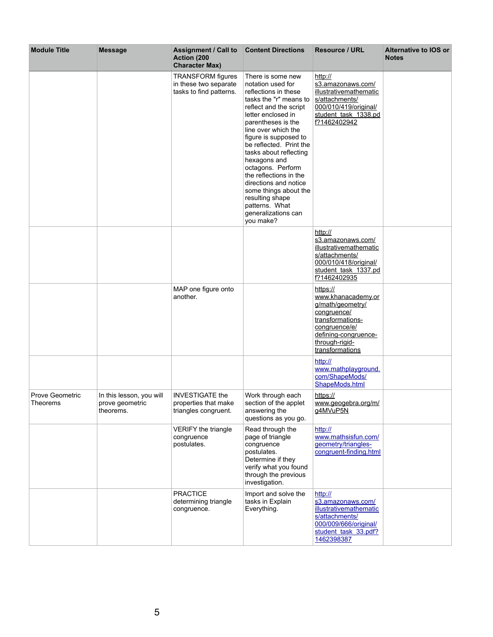| <b>Module Title</b>                       | <b>Message</b>                                           | <b>Assignment / Call to Content Directions</b><br><b>Action (200)</b><br><b>Character Max)</b> |                                                                                                                                                                                                                                                                                                                                                                                                                                                               | <b>Resource / URL</b>                                                                                                                                               | <b>Alternative to IOS or</b><br><b>Notes</b> |
|-------------------------------------------|----------------------------------------------------------|------------------------------------------------------------------------------------------------|---------------------------------------------------------------------------------------------------------------------------------------------------------------------------------------------------------------------------------------------------------------------------------------------------------------------------------------------------------------------------------------------------------------------------------------------------------------|---------------------------------------------------------------------------------------------------------------------------------------------------------------------|----------------------------------------------|
|                                           |                                                          | <b>TRANSFORM</b> figures<br>in these two separate<br>tasks to find patterns.                   | There is some new<br>notation used for<br>reflections in these<br>tasks the "r" means to<br>reflect and the script<br>letter enclosed in<br>parentheses is the<br>line over which the<br>figure is supposed to<br>be reflected. Print the<br>tasks about reflecting<br>hexagons and<br>octagons. Perform<br>the reflections in the<br>directions and notice<br>some things about the<br>resulting shape<br>patterns. What<br>generalizations can<br>you make? | http://<br>s3.amazonaws.com/<br>illustrativemathematic<br>s/attachments/<br>000/010/419/original/<br>student task 1338.pd<br>f?1462402942                           |                                              |
|                                           |                                                          |                                                                                                |                                                                                                                                                                                                                                                                                                                                                                                                                                                               | http://<br>s3.amazonaws.com/<br><i>illustrativemathematic</i><br>s/attachments/<br>000/010/418/original/<br>student task 1337.pd<br>f?1462402935                    |                                              |
|                                           |                                                          | MAP one figure onto<br>another.                                                                |                                                                                                                                                                                                                                                                                                                                                                                                                                                               | https://<br>www.khanacademy.or<br>g/math/geometry/<br>congruence/<br>transformations-<br>congruence/e/<br>defining-congruence-<br>through-rigid-<br>transformations |                                              |
| <b>Prove Geometric</b><br><b>Theorems</b> | In this lesson, you will<br>prove geometric<br>theorems. | <b>INVESTIGATE the</b><br>properties that make<br>triangles congruent.                         | Work through each<br>section of the applet<br>answering the                                                                                                                                                                                                                                                                                                                                                                                                   | http://<br>www.mathplayground.<br>com/ShapeMods/<br>ShapeMods.html<br>https://<br>www.geogebra.org/m/<br>g4MVuP5N                                                   |                                              |
|                                           |                                                          | <b>VERIFY the triangle</b><br>congruence<br>postulates.                                        | questions as you go.<br>Read through the<br>page of triangle<br>congruence<br>postulates.<br>Determine if they<br>verify what you found<br>through the previous<br>investigation.                                                                                                                                                                                                                                                                             | http://<br>www.mathsisfun.com/<br>geometry/triangles-<br>congruent-finding.html                                                                                     |                                              |
|                                           |                                                          | <b>PRACTICE</b><br>determining triangle<br>congruence.                                         | Import and solve the<br>tasks in Explain<br>Everything.                                                                                                                                                                                                                                                                                                                                                                                                       | http://<br>s3.amazonaws.com/<br>illustrativemathematic<br>s/attachments/<br>000/009/666/original/<br>student task 33.pdf?<br>1462398387                             |                                              |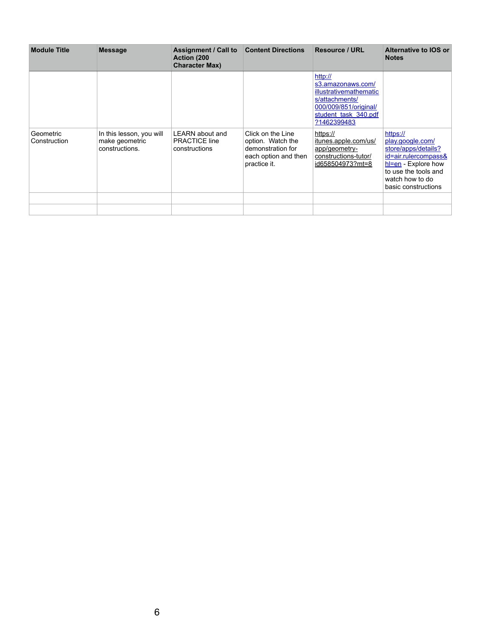| <b>Module Title</b>       | <b>Message</b>                                               | <b>Assignment / Call to Content Directions</b><br><b>Action (200)</b><br><b>Character Max)</b> |                                                                                                     | <b>Resource / URL</b>                                                                                                                           | <b>Alternative to IOS or</b><br><b>Notes</b>                                                                                                                              |
|---------------------------|--------------------------------------------------------------|------------------------------------------------------------------------------------------------|-----------------------------------------------------------------------------------------------------|-------------------------------------------------------------------------------------------------------------------------------------------------|---------------------------------------------------------------------------------------------------------------------------------------------------------------------------|
|                           |                                                              |                                                                                                |                                                                                                     | http://<br>s3.amazonaws.com/<br><b>illustrativemathematic</b><br>s/attachments/<br>000/009/851/original/<br>student task 340.pdf<br>?1462399483 |                                                                                                                                                                           |
| Geometric<br>Construction | In this lesson, you will<br>make geometric<br>constructions. | <b>LEARN</b> about and<br><b>PRACTICE line</b><br>constructions                                | Click on the Line<br>option. Watch the<br>demonstration for<br>each option and then<br>practice it. | https://<br>itunes.apple.com/us/<br>app/geometry-<br>constructions-tutor/<br>id658504973?mt=8                                                   | https://<br>play.google.com/<br>store/apps/details?<br>id=air.rulercompass&<br>$h$ = $en -$ Explore how<br>to use the tools and<br>watch how to do<br>basic constructions |
|                           |                                                              |                                                                                                |                                                                                                     |                                                                                                                                                 |                                                                                                                                                                           |
|                           |                                                              |                                                                                                |                                                                                                     |                                                                                                                                                 |                                                                                                                                                                           |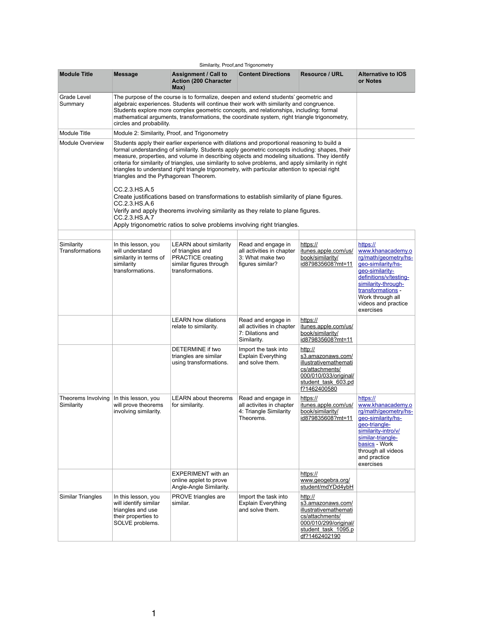|                                      |                                                                                                             |                                                                                                                                                                                                                                                                                                                                                                                                                                                                                                            | Similarity, Proof, and Trigonometry                                                     |                                                                                                                                                 |                                                                                                                                                                                                                              |
|--------------------------------------|-------------------------------------------------------------------------------------------------------------|------------------------------------------------------------------------------------------------------------------------------------------------------------------------------------------------------------------------------------------------------------------------------------------------------------------------------------------------------------------------------------------------------------------------------------------------------------------------------------------------------------|-----------------------------------------------------------------------------------------|-------------------------------------------------------------------------------------------------------------------------------------------------|------------------------------------------------------------------------------------------------------------------------------------------------------------------------------------------------------------------------------|
| <b>Module Title</b>                  | <b>Message</b>                                                                                              | <b>Assignment / Call to</b><br><b>Action (200 Character)</b><br>Max)                                                                                                                                                                                                                                                                                                                                                                                                                                       | <b>Content Directions</b>                                                               | <b>Resource / URL</b>                                                                                                                           | <b>Alternative to IOS</b><br>or Notes                                                                                                                                                                                        |
| <b>Grade Level</b><br>Summary        | circles and probability.                                                                                    | The purpose of the course is to formalize, deepen and extend students' geometric and<br>algebraic experiences. Students will continue their work with similarity and congruence.<br>Students explore more complex geometric concepts, and relationships, including: formal<br>mathematical arguments, transformations, the coordinate system, right triangle trigonometry,                                                                                                                                 |                                                                                         |                                                                                                                                                 |                                                                                                                                                                                                                              |
| <b>Module Title</b>                  |                                                                                                             | Module 2: Similarity, Proof, and Trigonometry                                                                                                                                                                                                                                                                                                                                                                                                                                                              |                                                                                         |                                                                                                                                                 |                                                                                                                                                                                                                              |
| <b>Module Overview</b>               | triangles and the Pythagorean Theorem.                                                                      | Students apply their earlier experience with dilations and proportional reasoning to build a<br>formal understanding of similarity. Students apply geometric concepts including: shapes, their<br>measure, properties, and volume in describing objects and modeling situations. They identify<br>criteria for similarity of triangles, use similarity to solve problems, and apply similarity in right<br>triangles to understand right triangle trigonometry, with particular attention to special right |                                                                                         |                                                                                                                                                 |                                                                                                                                                                                                                              |
|                                      | CC.2.3.HS.A.5<br>CC.2.3.HS.A.6<br>CC.2.3.HS.A.7                                                             | Create justifications based on transformations to establish similarity of plane figures.<br>Verify and apply theorems involving similarity as they relate to plane figures.<br>Apply trigonometric ratios to solve problems involving right triangles.                                                                                                                                                                                                                                                     |                                                                                         |                                                                                                                                                 |                                                                                                                                                                                                                              |
|                                      |                                                                                                             |                                                                                                                                                                                                                                                                                                                                                                                                                                                                                                            |                                                                                         |                                                                                                                                                 |                                                                                                                                                                                                                              |
| Similarity<br><b>Transformations</b> | In this lesson, you<br>will understand<br>similarity in terms of<br>similarity<br>transformations.          | <b>LEARN</b> about similarity<br>of triangles and<br><b>PRACTICE creating</b><br>similar figures through<br>transformations.                                                                                                                                                                                                                                                                                                                                                                               | Read and engage in<br>all activities in chapter<br>3: What make two<br>figures similar? | https://<br>itunes.apple.com/us/<br>book/similarity/<br>id879835608?mt=11                                                                       | https://<br>www.khanacademy.o<br>rg/math/geometry/hs-<br>geo-similarity/hs-<br>geo-similarity-<br>definitions/v/testing-<br>similarity-through-<br>transformations -<br>Work through all<br>videos and practice<br>exercises |
|                                      |                                                                                                             | <b>LEARN how dilations</b><br>relate to similarity.                                                                                                                                                                                                                                                                                                                                                                                                                                                        | Read and engage in<br>all activities in chapter<br>7: Dilations and<br>Similarity.      | https://<br>itunes.apple.com/us/<br>book/similarity/<br>id879835608?mt=11                                                                       |                                                                                                                                                                                                                              |
|                                      |                                                                                                             | <b>DETERMINE if two</b><br>triangles are similar<br>using transformations.                                                                                                                                                                                                                                                                                                                                                                                                                                 | Import the task into<br><b>Explain Everything</b><br>and solve them.                    | http://<br>s3.amazonaws.com/<br><b>illustrativemathemati</b><br>cs/attachments/<br>000/010/033/original/<br>student_task_603.pd<br>f?1462400580 |                                                                                                                                                                                                                              |
| Theorems Involving<br>Similarity     | In this lesson, you<br>will prove theorems<br>involving similarity.                                         | <b>LEARN about theorems</b><br>for similarity.                                                                                                                                                                                                                                                                                                                                                                                                                                                             | Read and engage in<br>all activites in chapter<br>4: Triangle Similarity<br>Theorems.   | https://<br>itunes.apple.com/us/<br>book/similarity/<br>id879835608?mt=11                                                                       | https://<br>www.khanacademy.o<br>rg/math/geometry/hs-<br>geo-similarity/hs-<br>geo-triangle-<br>similarity-intro/v/<br>similar-triangle-<br>basics - Work<br>through all videos<br>and practice<br>exercises                 |
|                                      |                                                                                                             | <b>EXPERIMENT</b> with an<br>online applet to prove<br>Angle-Angle Similarity.                                                                                                                                                                                                                                                                                                                                                                                                                             |                                                                                         | https://<br>www.geogebra.org/<br>student/mdYDd4ybH                                                                                              |                                                                                                                                                                                                                              |
| <b>Similar Triangles</b>             | In this lesson, you<br>will identify similar<br>triangles and use<br>their properties to<br>SOLVE problems. | <b>PROVE triangles are</b><br>similar.                                                                                                                                                                                                                                                                                                                                                                                                                                                                     | Import the task into<br><b>Explain Everything</b><br>and solve them.                    | http://<br>s3.amazonaws.com/<br>illustrativemathemati<br>cs/attachments/<br>000/010/299/original/<br>student task 1095.p<br>df?1462402190       |                                                                                                                                                                                                                              |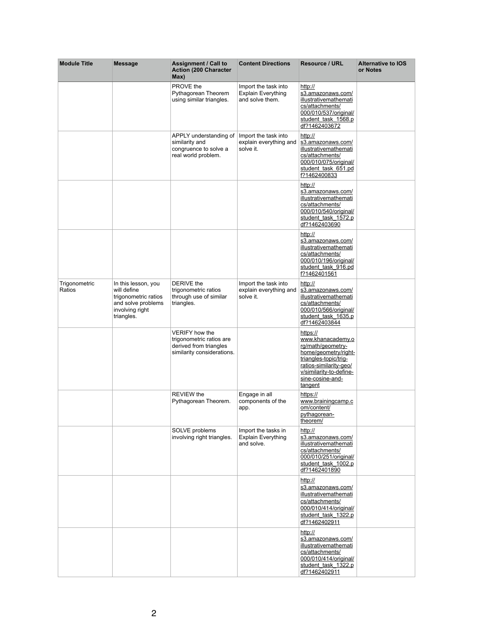| <b>Module Title</b>     | <b>Message</b>                                                                                                    | <b>Assignment / Call to</b><br><b>Action (200 Character)</b><br>Max)                                      | <b>Content Directions</b>                                            | <b>Resource / URL</b>                                                                                                                                                                          | <b>Alternative to IOS</b><br>or Notes |
|-------------------------|-------------------------------------------------------------------------------------------------------------------|-----------------------------------------------------------------------------------------------------------|----------------------------------------------------------------------|------------------------------------------------------------------------------------------------------------------------------------------------------------------------------------------------|---------------------------------------|
|                         |                                                                                                                   | <b>PROVE</b> the<br>Pythagorean Theorem<br>using similar triangles.                                       | Import the task into<br><b>Explain Everything</b><br>and solve them. | http://<br>s3.amazonaws.com/<br>illustrativemathemati<br>cs/attachments/<br>000/010/537/original/<br>student task 1568.p<br>df?1462403672                                                      |                                       |
|                         |                                                                                                                   | APPLY understanding of<br>similarity and<br>congruence to solve a<br>real world problem.                  | Import the task into<br>explain everything and<br>solve it.          | http://<br>s3.amazonaws.com/<br><b>illustrativemathemati</b><br>cs/attachments/<br>000/010/075/original/<br>student task 651.pd<br>f?1462400833                                                |                                       |
|                         |                                                                                                                   |                                                                                                           |                                                                      | http://<br>s3.amazonaws.com/<br><b>illustrativemathemati</b><br>cs/attachments/<br>000/010/540/original/<br>student task 1572.p<br>df?1462403690                                               |                                       |
|                         |                                                                                                                   |                                                                                                           |                                                                      | http://<br>s3.amazonaws.com/<br>illustrativemathemati<br>cs/attachments/<br>000/010/196/original/<br>student task 916.pd<br>f?1462401561                                                       |                                       |
| Trigonometric<br>Ratios | In this lesson, you<br>will define<br>trigonometric ratios<br>and solve problems<br>involving right<br>triangles. | <b>DERIVE</b> the<br>trigonometric ratios<br>through use of similar<br>triangles.                         | Import the task into<br>explain everything and<br>solve it.          | http://<br>s3.amazonaws.com/<br><b>illustrativemathemati</b><br>cs/attachments/<br>000/010/566/original/<br>student task 1635.p<br>df?1462403844                                               |                                       |
|                         |                                                                                                                   | <b>VERIFY</b> how the<br>trigonometric ratios are<br>derived from triangles<br>similarity considerations. |                                                                      | https://<br>www.khanacademy.o<br>rg/math/geometry-<br>home/geometry/right-<br>triangles-topic/trig-<br>ratios-similarity-geo/<br>v/similarity-to-define-<br>sine-cosine-and-<br><u>tangent</u> |                                       |
|                         |                                                                                                                   | <b>REVIEW the</b><br>Pythagorean Theorem.                                                                 | Engage in all<br>components of the<br>app.                           | https://<br>www.brainingcamp.c<br>om/content/<br>pythagorean-<br>theorem/                                                                                                                      |                                       |
|                         |                                                                                                                   | SOLVE problems<br>involving right triangles.                                                              | Import the tasks in<br><b>Explain Everything</b><br>and solve.       | http://<br>s3.amazonaws.com/<br>illustrativemathemati<br>cs/attachments/<br>000/010/251/original/<br>student task 1002.p<br>df?1462401890                                                      |                                       |
|                         |                                                                                                                   |                                                                                                           |                                                                      | http://<br>s3.amazonaws.com/<br>illustrativemathemati<br>cs/attachments/<br>000/010/414/original/<br>student task 1322.p<br>df?1462402911                                                      |                                       |
|                         |                                                                                                                   |                                                                                                           |                                                                      | http://<br>s3.amazonaws.com/<br><b>illustrativemathemati</b><br>cs/attachments/<br>000/010/414/original/<br>student task 1322.p<br>df?1462402911                                               |                                       |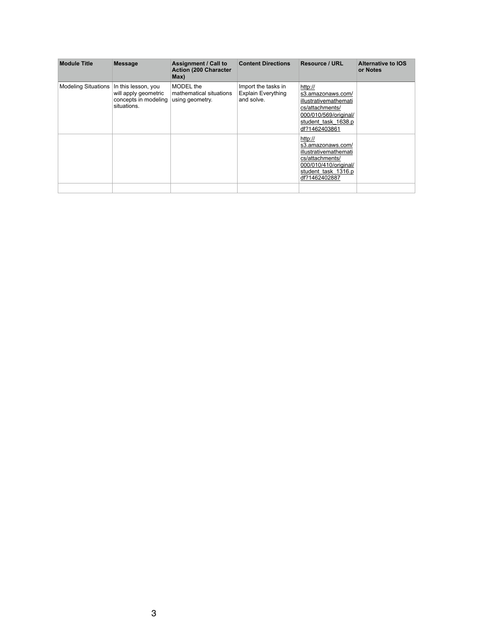| <b>Module Title</b>        | <b>Message</b>                                                                     | <b>Assignment / Call to</b><br><b>Action (200 Character)</b><br>Max) | <b>Content Directions</b>                                      | <b>Resource / URL</b>                                                                                                                     | <b>Alternative to IOS</b><br>or Notes |
|----------------------------|------------------------------------------------------------------------------------|----------------------------------------------------------------------|----------------------------------------------------------------|-------------------------------------------------------------------------------------------------------------------------------------------|---------------------------------------|
| <b>Modeling Situations</b> | In this lesson, you<br>will apply geometric<br>concepts in modeling<br>situations. | <b>MODEL</b> the<br>mathematical situations<br>using geometry.       | Import the tasks in<br><b>Explain Everything</b><br>and solve. | http://<br>s3.amazonaws.com/<br>illustrativemathemati<br>cs/attachments/<br>000/010/569/original/<br>student task 1638.p<br>df?1462403861 |                                       |
|                            |                                                                                    |                                                                      |                                                                | http://<br>s3.amazonaws.com/<br>illustrativemathemati<br>cs/attachments/<br>000/010/410/original/<br>student task 1316.p<br>df?1462402887 |                                       |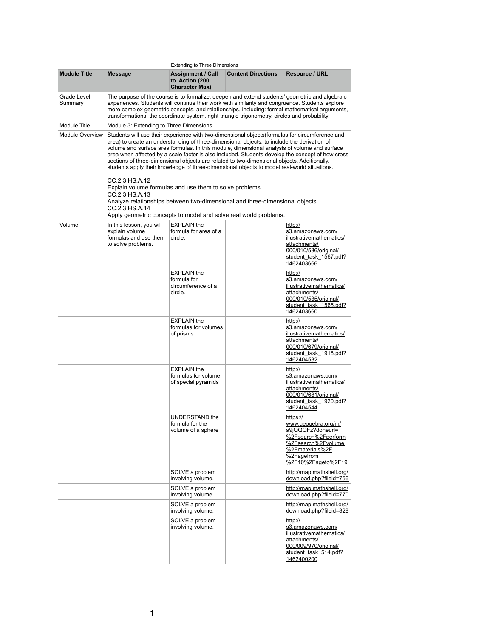|                               |                                                                                                                                                                                                                                                                                                                                                                                           | <b>Extending to Three Dimensions</b>                                |                           |                                                                                                                                                                                                                                                                                                    |
|-------------------------------|-------------------------------------------------------------------------------------------------------------------------------------------------------------------------------------------------------------------------------------------------------------------------------------------------------------------------------------------------------------------------------------------|---------------------------------------------------------------------|---------------------------|----------------------------------------------------------------------------------------------------------------------------------------------------------------------------------------------------------------------------------------------------------------------------------------------------|
| <b>Module Title</b>           | <b>Message</b>                                                                                                                                                                                                                                                                                                                                                                            | <b>Assignment / Call</b><br>to Action (200<br><b>Character Max)</b> | <b>Content Directions</b> | <b>Resource / URL</b>                                                                                                                                                                                                                                                                              |
| <b>Grade Level</b><br>Summary | transformations, the coordinate system, right triangle trigonometry, circles and probability.                                                                                                                                                                                                                                                                                             |                                                                     |                           | The purpose of the course is to formalize, deepen and extend students' geometric and algebraic<br>experiences. Students will continue their work with similarity and congruence. Students explore<br>more complex geometric concepts, and relationships, including: formal mathematical arguments, |
| <b>Module Title</b>           | Module 3: Extending to Three Dimensions                                                                                                                                                                                                                                                                                                                                                   |                                                                     |                           |                                                                                                                                                                                                                                                                                                    |
| <b>Module Overview</b>        | area) to create an understanding of three-dimensional objects, to include the derivation of<br>volume and surface area formulas. In this module, dimensional analysis of volume and surface<br>sections of three-dimensional objects are related to two-dimensional objects. Additionally,<br>students apply their knowledge of three-dimensional objects to model real-world situations. |                                                                     |                           | Students will use their experience with two-dimensional objects (formulas for circumference and<br>area when affected by a scale factor is also included. Students develop the concept of how cross                                                                                                |
|                               | CC.2.3.HS.A.12<br>Explain volume formulas and use them to solve problems.<br>CC.2.3.HS.A.13<br>Analyze relationships between two-dimensional and three-dimensional objects.<br>CC.2.3.HS.A.14<br>Apply geometric concepts to model and solve real world problems.                                                                                                                         |                                                                     |                           |                                                                                                                                                                                                                                                                                                    |
| Volume                        |                                                                                                                                                                                                                                                                                                                                                                                           | <b>EXPLAIN the</b>                                                  |                           |                                                                                                                                                                                                                                                                                                    |
|                               | In this lesson, you will<br>explain volume<br>formulas and use them<br>to solve problems.                                                                                                                                                                                                                                                                                                 | formula for area of a<br>circle.                                    |                           | http://<br>s3.amazonaws.com/<br>illustrativemathematics/<br>attachments/<br>000/010/536/original/<br>student task 1567.pdf?<br>1462403666                                                                                                                                                          |
|                               |                                                                                                                                                                                                                                                                                                                                                                                           | <b>EXPLAIN the</b><br>formula for<br>circumference of a<br>circle.  |                           | http://<br>s3.amazonaws.com/<br>illustrativemathematics/<br>attachments/<br>000/010/535/original/<br>student task_1565.pdf?<br>1462403660                                                                                                                                                          |
|                               |                                                                                                                                                                                                                                                                                                                                                                                           | <b>EXPLAIN the</b><br>formulas for volumes<br>of prisms             |                           | http://<br>s3.amazonaws.com/<br>illustrativemathematics/<br>attachments/<br>000/010/679/original/<br>student task 1918.pdf?<br>1462404532                                                                                                                                                          |
|                               |                                                                                                                                                                                                                                                                                                                                                                                           | <b>EXPLAIN the</b><br>formulas for volume<br>of special pyramids    |                           | http://<br>s3.amazonaws.com/<br>illustrativemathematics/<br>attachments/<br>000/010/681/original/<br>student task 1920.pdf?<br>1462404544                                                                                                                                                          |
|                               |                                                                                                                                                                                                                                                                                                                                                                                           | <b>UNDERSTAND the</b><br>formula for the<br>volume of a sphere      |                           | https://<br>www.geogebra.org/m/<br>a9jQQQFz?doneurl=<br>%2Fsearch%2Fperform<br>%2Fsearch%2Fvolume<br>%2Fmaterials%2F<br>%2Fagefrom<br>%2F10%2Fageto%2F19                                                                                                                                           |
|                               |                                                                                                                                                                                                                                                                                                                                                                                           | SOLVE a problem<br>involving volume.                                |                           | http://map.mathshell.org/<br>download.php?fileid=756                                                                                                                                                                                                                                               |
|                               |                                                                                                                                                                                                                                                                                                                                                                                           | SOLVE a problem<br>involving volume.                                |                           | http://map.mathshell.org/<br>download.php?fileid=770                                                                                                                                                                                                                                               |
|                               |                                                                                                                                                                                                                                                                                                                                                                                           | SOLVE a problem<br>involving volume.                                |                           | http://map.mathshell.org/<br>download.php?fileid=828                                                                                                                                                                                                                                               |
|                               |                                                                                                                                                                                                                                                                                                                                                                                           | SOLVE a problem<br>involving volume.                                |                           | http://<br>s3.amazonaws.com/<br>illustrativemathematics/<br>attachments/<br>000/009/970/original/<br>student task 514.pdf?<br>1462400200                                                                                                                                                           |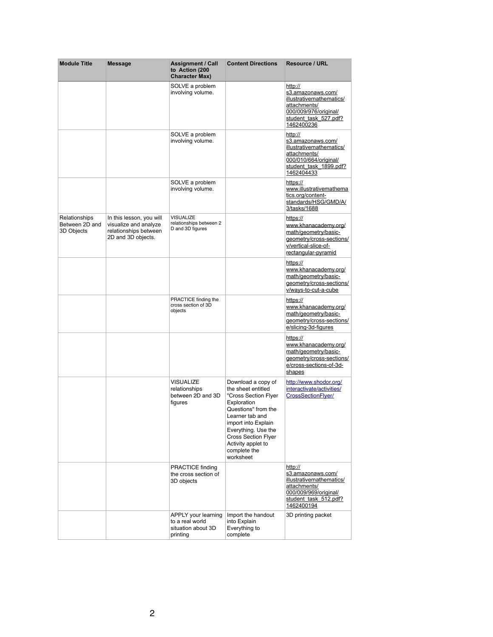| <b>Module Title</b>                                  | <b>Message</b>                                                                                   | <b>Assignment / Call</b><br>to Action (200<br><b>Character Max)</b>             | <b>Content Directions</b>                                                                                                                                                                                                                                | <b>Resource / URL</b>                                                                                                                     |
|------------------------------------------------------|--------------------------------------------------------------------------------------------------|---------------------------------------------------------------------------------|----------------------------------------------------------------------------------------------------------------------------------------------------------------------------------------------------------------------------------------------------------|-------------------------------------------------------------------------------------------------------------------------------------------|
|                                                      |                                                                                                  | SOLVE a problem<br>involving volume.                                            |                                                                                                                                                                                                                                                          | http://<br>s3.amazonaws.com/<br>illustrativemathematics/<br>attachments/<br>000/009/976/original/<br>student task 527.pdf?<br>1462400236  |
|                                                      |                                                                                                  | SOLVE a problem<br>involving volume.                                            |                                                                                                                                                                                                                                                          | http://<br>s3.amazonaws.com/<br>illustrativemathematics/<br>attachments/<br>000/010/664/original/<br>student task 1899.pdf?<br>1462404433 |
|                                                      |                                                                                                  | SOLVE a problem<br>involving volume.                                            |                                                                                                                                                                                                                                                          | https://<br>www.illustrativemathema<br>tics.org/content-<br>standards/HSG/GMD/A/<br>3/tasks/1688                                          |
| <b>Relationships</b><br>Between 2D and<br>3D Objects | In this lesson, you will<br>visualize and analyze<br>relationships between<br>2D and 3D objects. | <b>VISUALIZE</b><br>relationships between 2<br>D and 3D figures                 |                                                                                                                                                                                                                                                          | https://<br>www.khanacademy.org/<br>math/geometry/basic-<br>geometry/cross-sections/<br>v/vertical-slice-of-<br>rectangular-pyramid       |
|                                                      |                                                                                                  |                                                                                 |                                                                                                                                                                                                                                                          | https://<br>www.khanacademy.org/<br>math/geometry/basic-<br>geometry/cross-sections/<br>v/ways-to-cut-a-cube                              |
|                                                      |                                                                                                  | PRACTICE finding the<br>cross section of 3D<br>objects                          |                                                                                                                                                                                                                                                          | https://<br>www.khanacademy.org/<br>math/geometry/basic-<br>geometry/cross-sections/<br>e/slicing-3d-figures                              |
|                                                      |                                                                                                  |                                                                                 |                                                                                                                                                                                                                                                          | https://<br>www.khanacademy.org/<br>math/geometry/basic-<br>geometry/cross-sections/<br>e/cross-sections-of-3d-<br><u>shapes</u>          |
|                                                      |                                                                                                  | <b>VISUALIZE</b><br>relationships<br>between 2D and 3D<br>figures               | Download a copy of<br>the sheet entitled<br>"Cross Section Flyer<br>Exploration<br>Questions" from the<br>Learner tab and<br>import into Explain<br>Everything. Use the<br><b>Cross Section Flyer</b><br>Activity applet to<br>complete the<br>worksheet | http://www.shodor.org/<br>interactivate/activities/<br><b>CrossSectionFlyer/</b>                                                          |
|                                                      |                                                                                                  | <b>PRACTICE finding</b><br>the cross section of<br>3D objects                   |                                                                                                                                                                                                                                                          | http://<br>s3.amazonaws.com/<br>illustrativemathematics/<br>attachments/<br>000/009/969/original/<br>student task 512.pdf?<br>1462400194  |
|                                                      |                                                                                                  | <b>APPLY your learning</b><br>to a real world<br>situation about 3D<br>printing | Import the handout<br>into Explain<br>Everything to<br>complete                                                                                                                                                                                          | 3D printing packet                                                                                                                        |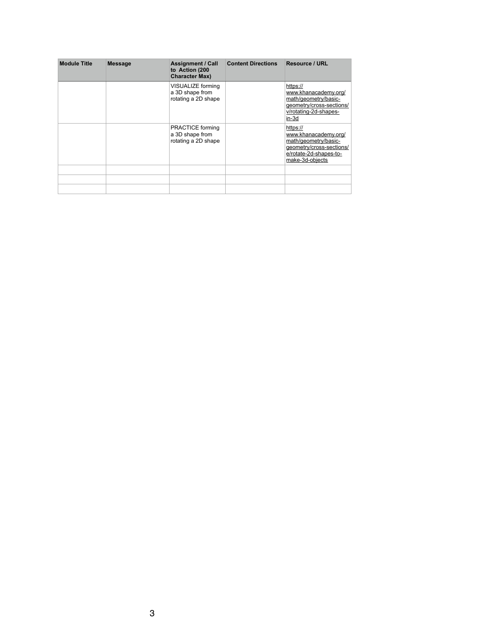| <b>Module Title</b> | <b>Message</b> | <b>Assignment / Call</b><br>to Action (200<br><b>Character Max)</b> | <b>Content Directions</b> | <b>Resource / URL</b>                                                                                                             |
|---------------------|----------------|---------------------------------------------------------------------|---------------------------|-----------------------------------------------------------------------------------------------------------------------------------|
|                     |                | <b>VISUALIZE forming</b><br>a 3D shape from<br>rotating a 2D shape  |                           | https://<br>www.khanacademy.org/<br>math/geometry/basic-<br>geometry/cross-sections/<br>v/rotating-2d-shapes-<br>$in-3d$          |
|                     |                | <b>PRACTICE forming</b><br>a 3D shape from<br>rotating a 2D shape   |                           | https://<br>www.khanacademy.org/<br>math/geometry/basic-<br>geometry/cross-sections/<br>e/rotate-2d-shapes-to-<br>make-3d-objects |
|                     |                |                                                                     |                           |                                                                                                                                   |
|                     |                |                                                                     |                           |                                                                                                                                   |
|                     |                |                                                                     |                           |                                                                                                                                   |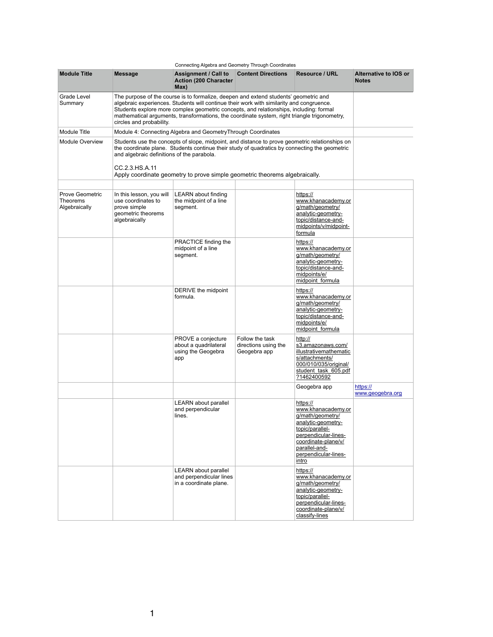|                                                            | Connecting Algebra and Geometry Through Coordinates                                                                                                                                                                                                                                                                                                                                                    |                                                                                         |                                                         |                                                                                                                                                                                              |                                              |  |
|------------------------------------------------------------|--------------------------------------------------------------------------------------------------------------------------------------------------------------------------------------------------------------------------------------------------------------------------------------------------------------------------------------------------------------------------------------------------------|-----------------------------------------------------------------------------------------|---------------------------------------------------------|----------------------------------------------------------------------------------------------------------------------------------------------------------------------------------------------|----------------------------------------------|--|
| <b>Module Title</b>                                        | <b>Message</b>                                                                                                                                                                                                                                                                                                                                                                                         | <b>Assignment / Call to Content Directions</b><br><b>Action (200 Character)</b><br>Max) |                                                         | <b>Resource / URL</b>                                                                                                                                                                        | <b>Alternative to IOS or</b><br><b>Notes</b> |  |
| <b>Grade Level</b><br>Summary                              | The purpose of the course is to formalize, deepen and extend students' geometric and<br>algebraic experiences. Students will continue their work with similarity and congruence.<br>Students explore more complex geometric concepts, and relationships, including: formal<br>mathematical arguments, transformations, the coordinate system, right triangle trigonometry,<br>circles and probability. |                                                                                         |                                                         |                                                                                                                                                                                              |                                              |  |
| <b>Module Title</b>                                        |                                                                                                                                                                                                                                                                                                                                                                                                        | Module 4: Connecting Algebra and Geometry Through Coordinates                           |                                                         |                                                                                                                                                                                              |                                              |  |
| <b>Module Overview</b>                                     | Students use the concepts of slope, midpoint, and distance to prove geometric relationships on<br>the coordinate plane. Students continue their study of quadratics by connecting the geometric<br>and algebraic definitions of the parabola.<br>CC.2.3.HS.A.11<br>Apply coordinate geometry to prove simple geometric theorems algebraically.                                                         |                                                                                         |                                                         |                                                                                                                                                                                              |                                              |  |
|                                                            |                                                                                                                                                                                                                                                                                                                                                                                                        |                                                                                         |                                                         |                                                                                                                                                                                              |                                              |  |
| <b>Prove Geometric</b><br><b>Theorems</b><br>Algebraically | In this lesson, you will<br>use coordinates to<br>prove simple<br>geometric theorems<br>algebraically                                                                                                                                                                                                                                                                                                  | <b>LEARN</b> about finding<br>the midpoint of a line<br>segment.                        |                                                         | https://<br>www.khanacademy.or<br>g/math/geometry/<br>analytic-geometry-<br>topic/distance-and-<br>midpoints/v/midpoint-<br>formula                                                          |                                              |  |
|                                                            |                                                                                                                                                                                                                                                                                                                                                                                                        | PRACTICE finding the<br>midpoint of a line<br>segment.                                  |                                                         | https://<br>www.khanacademy.or<br>g/math/geometry/<br>analytic-geometry-<br>topic/distance-and-<br>midpoints/e/<br>midpoint formula                                                          |                                              |  |
|                                                            |                                                                                                                                                                                                                                                                                                                                                                                                        | DERIVE the midpoint<br>formula.                                                         |                                                         | https://<br>www.khanacademy.or<br>g/math/geometry/<br>analytic-geometry-<br>topic/distance-and-<br>midpoints/e/<br>midpoint formula                                                          |                                              |  |
|                                                            |                                                                                                                                                                                                                                                                                                                                                                                                        | PROVE a conjecture<br>about a quadrilateral<br>using the Geogebra<br>app                | Follow the task<br>directions using the<br>Geogebra app | http://<br>s3.amazonaws.com/<br>illustrativemathematic<br>s/attachments/<br>000/010/035/original/<br>student task 605.pdf<br>?1462400592                                                     |                                              |  |
|                                                            |                                                                                                                                                                                                                                                                                                                                                                                                        |                                                                                         |                                                         | Geogebra app                                                                                                                                                                                 | https://<br>www.geogebra.org                 |  |
|                                                            |                                                                                                                                                                                                                                                                                                                                                                                                        | <b>LEARN</b> about parallel<br>and perpendicular<br>lines.                              |                                                         | https://<br>www.khanacademy.or<br>g/math/geometry/<br>analytic-geometry-<br>topic/parallel-<br>perpendicular-lines-<br>coordinate-plane/v/<br>parallel-and-<br>perpendicular-lines-<br>intro |                                              |  |
|                                                            |                                                                                                                                                                                                                                                                                                                                                                                                        | <b>LEARN</b> about parallel<br>and perpendicular lines<br>in a coordinate plane.        |                                                         | https://<br>www.khanacademy.or<br>g/math/geometry/<br>analytic-geometry-<br>topic/parallel-<br>perpendicular-lines-<br>coordinate-plane/v/<br>classify-lines                                 |                                              |  |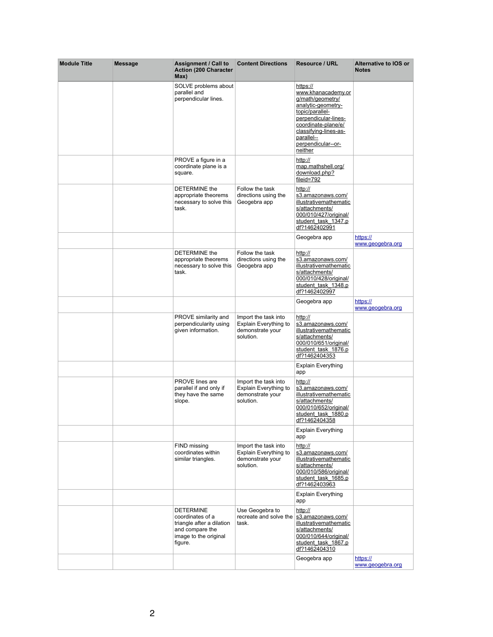| <b>Module Title</b> | <b>Message</b> | <b>Assignment / Call to</b><br><b>Action (200 Character)</b><br>Max)                                                     | <b>Content Directions</b>                                                             | <b>Resource / URL</b>                                                                                                                                                                                              | <b>Alternative to IOS or</b><br><b>Notes</b> |
|---------------------|----------------|--------------------------------------------------------------------------------------------------------------------------|---------------------------------------------------------------------------------------|--------------------------------------------------------------------------------------------------------------------------------------------------------------------------------------------------------------------|----------------------------------------------|
|                     |                | SOLVE problems about<br>parallel and<br>perpendicular lines.                                                             |                                                                                       | https://<br>www.khanacademy.or<br>g/math/geometry/<br>analytic-geometry-<br>topic/parallel-<br>perpendicular-lines-<br>coordinate-plane/e/<br>classifying-lines-as-<br>parallel--<br>perpendicular--or-<br>neither |                                              |
|                     |                | PROVE a figure in a<br>coordinate plane is a<br>square.                                                                  |                                                                                       | http://<br>map.mathshell.org/<br>download.php?<br>fileid=792                                                                                                                                                       |                                              |
|                     |                | <b>DETERMINE the</b><br>appropriate theorems<br>necessary to solve this<br>task.                                         | Follow the task<br>directions using the<br>Geogebra app                               | http://<br>s3.amazonaws.com/<br><b>illustrativemathematic</b><br>s/attachments/<br>000/010/427/original/<br>student task 1347.p<br>df?1462402991                                                                   |                                              |
|                     |                |                                                                                                                          |                                                                                       | Geogebra app                                                                                                                                                                                                       | https://<br>www.geogebra.org                 |
|                     |                | <b>DETERMINE the</b><br>appropriate theorems<br>necessary to solve this<br>task.                                         | Follow the task<br>directions using the<br>Geogebra app                               | http://<br>s3.amazonaws.com/<br>illustrativemathematic<br>s/attachments/<br>000/010/428/original/<br>student task 1348.p<br>df?1462402997                                                                          |                                              |
|                     |                |                                                                                                                          |                                                                                       | Geogebra app                                                                                                                                                                                                       | https://<br>www.geogebra.org                 |
|                     |                | <b>PROVE similarity and</b><br>perpendicularity using<br>given information.                                              | Import the task into<br><b>Explain Everything to</b><br>demonstrate your<br>solution. | http://<br>s3.amazonaws.com/<br>illustrativemathematic<br>s/attachments/<br>000/010/651/original/<br>student task 1876.p<br>df?1462404353                                                                          |                                              |
|                     |                |                                                                                                                          |                                                                                       | <b>Explain Everything</b><br>app                                                                                                                                                                                   |                                              |
|                     |                | <b>PROVE</b> lines are<br>parallel if and only if<br>they have the same<br>slope.                                        | Import the task into<br><b>Explain Everything to</b><br>demonstrate your<br>solution. | http://<br>s3.amazonaws.com/<br>illustrativemathematic<br>s/attachments/<br>000/010/652/original/<br>student task 1880.p<br>df?1462404358                                                                          |                                              |
|                     |                |                                                                                                                          |                                                                                       | <b>Explain Everything</b><br>app                                                                                                                                                                                   |                                              |
|                     |                | <b>FIND missing</b><br>coordinates within<br>similar triangles.                                                          | Import the task into<br><b>Explain Everything to</b><br>demonstrate your<br>solution. | http://<br>s3.amazonaws.com/<br><b>illustrativemathematic</b><br>s/attachments/<br>000/010/586/original/<br>student task 1685.p<br>df?1462403963                                                                   |                                              |
|                     |                |                                                                                                                          |                                                                                       | <b>Explain Everything</b><br>app                                                                                                                                                                                   |                                              |
|                     |                | <b>DETERMINE</b><br>coordinates of a<br>triangle after a dilation<br>and compare the<br>image to the original<br>figure. | Use Geogebra to<br>recreate and solve the<br>task.                                    | http://<br>s3.amazonaws.com/<br>illustrativemathematic<br>s/attachments/<br>000/010/644/original/<br>student task 1867.p<br>df?1462404310<br>Geogebra app                                                          | https://                                     |
|                     |                |                                                                                                                          |                                                                                       |                                                                                                                                                                                                                    | www.geogebra.org                             |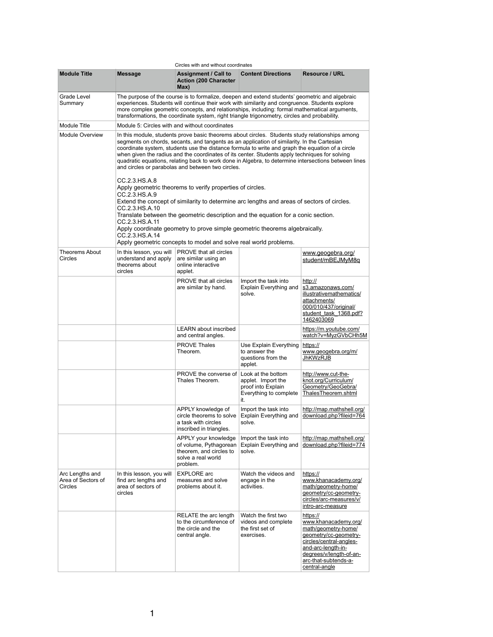|                                                         |                                                                                                                                                                                                                                                                                                                                                                                                                                                                                                                                                                   | Circles with and without coordinates                                                                                                                                                                                                                                                                                                                                                                |                                                                                                 |                                                                                                                                                                                                       |
|---------------------------------------------------------|-------------------------------------------------------------------------------------------------------------------------------------------------------------------------------------------------------------------------------------------------------------------------------------------------------------------------------------------------------------------------------------------------------------------------------------------------------------------------------------------------------------------------------------------------------------------|-----------------------------------------------------------------------------------------------------------------------------------------------------------------------------------------------------------------------------------------------------------------------------------------------------------------------------------------------------------------------------------------------------|-------------------------------------------------------------------------------------------------|-------------------------------------------------------------------------------------------------------------------------------------------------------------------------------------------------------|
| <b>Module Title</b>                                     | <b>Message</b>                                                                                                                                                                                                                                                                                                                                                                                                                                                                                                                                                    | <b>Assignment / Call to</b><br><b>Action (200 Character</b><br>Max)                                                                                                                                                                                                                                                                                                                                 | <b>Content Directions</b>                                                                       | <b>Resource / URL</b>                                                                                                                                                                                 |
| <b>Grade Level</b><br>Summary                           |                                                                                                                                                                                                                                                                                                                                                                                                                                                                                                                                                                   | The purpose of the course is to formalize, deepen and extend students' geometric and algebraic<br>experiences. Students will continue their work with similarity and congruence. Students explore<br>more complex geometric concepts, and relationships, including: formal mathematical arguments,<br>transformations, the coordinate system, right triangle trigonometry, circles and probability. |                                                                                                 |                                                                                                                                                                                                       |
| <b>Module Title</b>                                     |                                                                                                                                                                                                                                                                                                                                                                                                                                                                                                                                                                   | Module 5: Circles with and without coordinates                                                                                                                                                                                                                                                                                                                                                      |                                                                                                 |                                                                                                                                                                                                       |
| <b>Module Overview</b>                                  | In this module, students prove basic theorems about circles. Students study relationships among<br>segments on chords, secants, and tangents as an application of similarity. In the Cartesian<br>coordinate system, students use the distance formula to write and graph the equation of a circle<br>when given the radius and the coordinates of its center. Students apply techniques for solving<br>quadratic equations, relating back to work done in Algebra, to determine intersections between lines<br>and circles or parabolas and between two circles. |                                                                                                                                                                                                                                                                                                                                                                                                     |                                                                                                 |                                                                                                                                                                                                       |
|                                                         | CC.2.3.HS.A.8<br>Apply geometric theorems to verify properties of circles.<br>CC.2.3.HS.A.9<br>Extend the concept of similarity to determine arc lengths and areas of sectors of circles.<br>CC.2.3.HS.A.10<br>Translate between the geometric description and the equation for a conic section.<br>CC.2.3.HS.A.11                                                                                                                                                                                                                                                |                                                                                                                                                                                                                                                                                                                                                                                                     |                                                                                                 |                                                                                                                                                                                                       |
|                                                         | CC.2.3.HS.A.14                                                                                                                                                                                                                                                                                                                                                                                                                                                                                                                                                    | Apply coordinate geometry to prove simple geometric theorems algebraically.                                                                                                                                                                                                                                                                                                                         |                                                                                                 |                                                                                                                                                                                                       |
|                                                         |                                                                                                                                                                                                                                                                                                                                                                                                                                                                                                                                                                   | Apply geometric concepts to model and solve real world problems.                                                                                                                                                                                                                                                                                                                                    |                                                                                                 |                                                                                                                                                                                                       |
| <b>Theorems About</b><br><b>Circles</b>                 | In this lesson, you will<br>understand and apply<br>theorems about<br>circles                                                                                                                                                                                                                                                                                                                                                                                                                                                                                     | <b>PROVE that all circles</b><br>are similar using an<br>online interactive<br>applet.                                                                                                                                                                                                                                                                                                              |                                                                                                 | www.geogebra.org/<br>student/mBEJMyM8q                                                                                                                                                                |
|                                                         |                                                                                                                                                                                                                                                                                                                                                                                                                                                                                                                                                                   | <b>PROVE that all circles</b><br>are similar by hand.                                                                                                                                                                                                                                                                                                                                               | Import the task into<br><b>Explain Everything and</b><br>solve.                                 | http://<br>s3.amazonaws.com/<br>illustrativemathematics/<br>attachments/<br>000/010/437/original/<br>student task 1368.pdf?<br>1462403069                                                             |
|                                                         |                                                                                                                                                                                                                                                                                                                                                                                                                                                                                                                                                                   | <b>LEARN</b> about inscribed<br>and central angles.                                                                                                                                                                                                                                                                                                                                                 |                                                                                                 | https://m.youtube.com/<br>watch?v=MyzGVbCHh5M                                                                                                                                                         |
|                                                         |                                                                                                                                                                                                                                                                                                                                                                                                                                                                                                                                                                   | <b>PROVE Thales</b><br>Theorem.                                                                                                                                                                                                                                                                                                                                                                     | <b>Use Explain Everything</b><br>to answer the<br>questions from the<br>applet.                 | https://<br>www.geogebra.org/m/<br><b>JhKWzRJB</b>                                                                                                                                                    |
|                                                         |                                                                                                                                                                                                                                                                                                                                                                                                                                                                                                                                                                   | <b>PROVE the converse of</b><br>Thales Theorem.                                                                                                                                                                                                                                                                                                                                                     | Look at the bottom<br>applet. Import the<br>proof into Explain<br>Everything to complete<br>it. | http://www.cut-the-<br>knot.org/Curriculum/<br>Geometry/GeoGebra/<br>ThalesTheorem.shtml                                                                                                              |
|                                                         |                                                                                                                                                                                                                                                                                                                                                                                                                                                                                                                                                                   | APPLY knowledge of<br>circle theorems to solve<br>a task with circles<br>inscribed in triangles.                                                                                                                                                                                                                                                                                                    | Import the task into<br><b>Explain Everything and</b><br>solve.                                 | http://map.mathshell.org/<br>download.php?fileid=764                                                                                                                                                  |
|                                                         |                                                                                                                                                                                                                                                                                                                                                                                                                                                                                                                                                                   | APPLY your knowledge<br>of volume, Pythagorean<br>theorem, and circles to<br>solve a real world<br>problem.                                                                                                                                                                                                                                                                                         | Import the task into<br><b>Explain Everything and</b><br>solve.                                 | http://map.mathshell.org/<br>download.php?fileid=774                                                                                                                                                  |
| Arc Lengths and<br>Area of Sectors of<br><b>Circles</b> | In this lesson, you will<br>find arc lengths and<br>area of sectors of<br>circles                                                                                                                                                                                                                                                                                                                                                                                                                                                                                 | <b>EXPLORE</b> arc<br>measures and solve<br>problems about it.                                                                                                                                                                                                                                                                                                                                      | Watch the videos and<br>engage in the<br>activities.                                            | https://<br>www.khanacademy.org/<br>math/geometry-home/<br>geometry/cc-geometry-<br>circles/arc-measures/v/<br><u>intro-arc-measure</u>                                                               |
|                                                         |                                                                                                                                                                                                                                                                                                                                                                                                                                                                                                                                                                   | RELATE the arc length<br>to the circumference of<br>the circle and the<br>central angle.                                                                                                                                                                                                                                                                                                            | Watch the first two<br>videos and complete<br>the first set of<br>exercises.                    | https://<br>www.khanacademy.org/<br>math/geometry-home/<br>geometry/cc-geometry-<br>circles/central-angles-<br>and-arc-length-in-<br>degrees/v/length-of-an-<br>arc-that-subtends-a-<br>central-angle |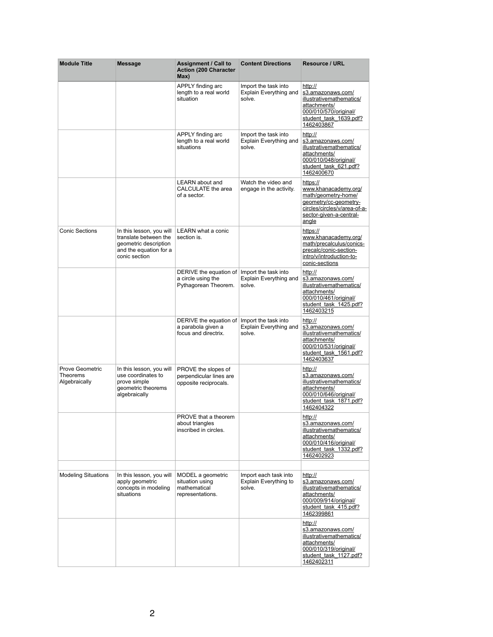| <b>Module Title</b>                                        | <b>Message</b>                                                                                                                                                       | <b>Assignment / Call to</b><br><b>Action (200 Character</b><br>Max)      | <b>Content Directions</b>                                       | <b>Resource / URL</b>                                                                                                                                |
|------------------------------------------------------------|----------------------------------------------------------------------------------------------------------------------------------------------------------------------|--------------------------------------------------------------------------|-----------------------------------------------------------------|------------------------------------------------------------------------------------------------------------------------------------------------------|
|                                                            |                                                                                                                                                                      | APPLY finding arc<br>length to a real world<br>situation                 | Import the task into<br><b>Explain Everything and</b><br>solve. | http://<br>s3.amazonaws.com/<br>illustrativemathematics/<br>attachments/<br>000/010/570/original/<br>student task 1639.pdf?<br>1462403867            |
|                                                            |                                                                                                                                                                      | APPLY finding arc<br>length to a real world<br>situations                | Import the task into<br><b>Explain Everything and</b><br>solve. | http://<br>s3.amazonaws.com/<br>illustrativemathematics/<br>attachments/<br>000/010/048/original/<br>student task 621.pdf?<br>1462400670             |
|                                                            |                                                                                                                                                                      | <b>LEARN</b> about and<br><b>CALCULATE</b> the area<br>of a sector.      | Watch the video and<br>engage in the activity.                  | https://<br>www.khanacademy.org/<br>math/geometry-home/<br>geometry/cc-geometry-<br>circles/circles/v/area-of-a-<br>sector-given-a-central-<br>angle |
| <b>Conic Sections</b>                                      | In this lesson, you will $ $ LEARN what a conic<br>translate between the $\parallel$ section is.<br>geometric description<br>and the equation for a<br>conic section |                                                                          |                                                                 | https://<br>www.khanacademy.org/<br>math/precalculus/conics-<br>precalc/conic-section-<br>intro/v/introduction-to-<br>conic-sections                 |
|                                                            |                                                                                                                                                                      | DERIVE the equation of<br>a circle using the<br>Pythagorean Theorem.     | Import the task into<br><b>Explain Everything and</b><br>solve. | http://<br>s3.amazonaws.com/<br>illustrativemathematics/<br>attachments/<br>000/010/461/original/<br>student task 1425.pdf?<br>1462403215            |
|                                                            |                                                                                                                                                                      | DERIVE the equation of<br>a parabola given a<br>focus and directrix.     | Import the task into<br><b>Explain Everything and</b><br>solve. | http://<br>s3.amazonaws.com/<br>illustrativemathematics/<br>attachments/<br>000/010/531/original/<br>student task 1561.pdf?<br>1462403637            |
| <b>Prove Geometric</b><br><b>Theorems</b><br>Algebraically | In this lesson, you will<br>use coordinates to<br>prove simple<br>geometric theorems<br>algebraically                                                                | PROVE the slopes of<br>perpendicular lines are<br>opposite reciprocals.  |                                                                 | http://<br>s3.amazonaws.com/<br>illustrativemathematics/<br>attachments/<br>000/010/646/original/<br>student task 1871.pdf?<br>1462404322            |
|                                                            |                                                                                                                                                                      | <b>PROVE that a theorem</b><br>about triangles<br>inscribed in circles.  |                                                                 | http://<br>s3.amazonaws.com/<br>illustrativemathematics/<br>attachments/<br>000/010/416/original/<br>student task 1332.pdf?<br>1462402923            |
| <b>Modeling Situations</b>                                 | In this lesson, you will<br>apply geometric<br>concepts in modeling<br>situations                                                                                    | MODEL a geometric<br>situation using<br>mathematical<br>representations. | Import each task into<br><b>Explain Everything to</b><br>solve. | http://<br>s3.amazonaws.com/<br>illustrativemathematics/<br>attachments/<br>000/009/914/original/<br>student task 415.pdf?<br><u>1462399861</u>      |
|                                                            |                                                                                                                                                                      |                                                                          |                                                                 | http://<br>s3.amazonaws.com/<br>illustrativemathematics/<br>attachments/<br>000/010/319/original/<br>student task 1127.pdf?<br><u>1462402311</u>     |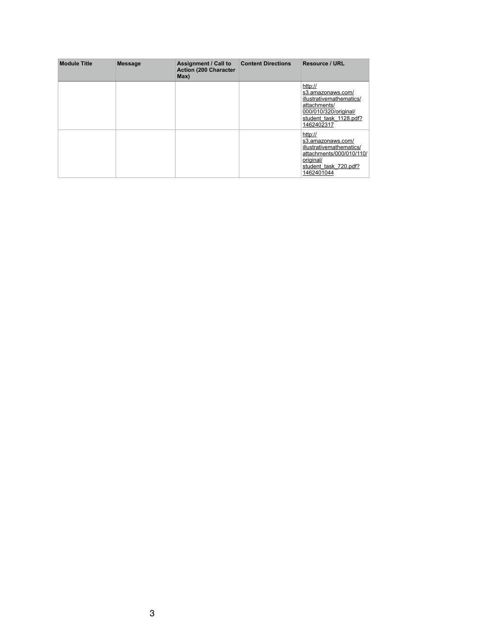| <b>Module Title</b> | <b>Message</b> | <b>Assignment / Call to</b><br><b>Action (200 Character</b><br>Max) | <b>Content Directions</b> | <b>Resource / URL</b>                                                                                                                     |
|---------------------|----------------|---------------------------------------------------------------------|---------------------------|-------------------------------------------------------------------------------------------------------------------------------------------|
|                     |                |                                                                     |                           | http://<br>s3.amazonaws.com/<br>illustrativemathematics/<br>attachments/<br>000/010/320/original/<br>student task 1128.pdf?<br>1462402317 |
|                     |                |                                                                     |                           | http://<br>s3.amazonaws.com/<br>illustrativemathematics/<br>attachments/000/010/110/<br>original/<br>student task 720.pdf?<br>1462401044  |